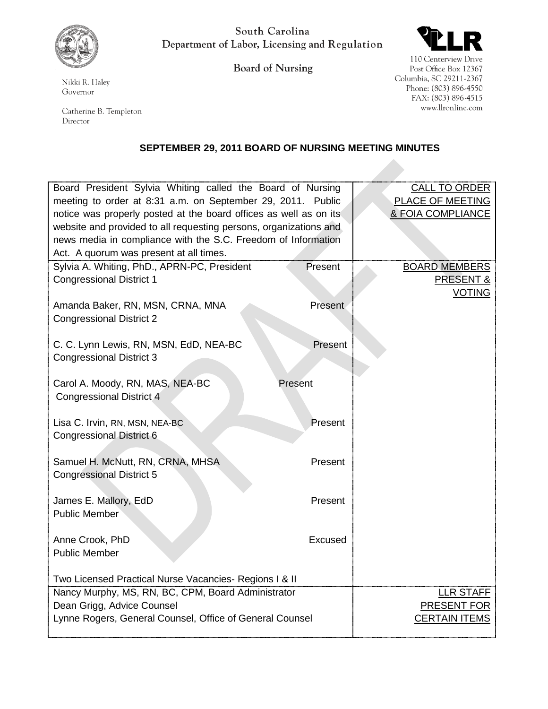

Nikki R. Haley Governor

Catherine B. Templeton Director

## South Carolina Department of Labor, Licensing and Regulation

**Board of Nursing** 



110 Centerview Drive Post Office Box 12367 Columbia, SC 29211-2367 Phone: (803) 896-4550 FAX: (803) 896-4515 www.llronline.com

## **SEPTEMBER 29, 2011 BOARD OF NURSING MEETING MINUTES**

| Board President Sylvia Whiting called the Board of Nursing<br>meeting to order at 8:31 a.m. on September 29, 2011. Public<br>notice was properly posted at the board offices as well as on its<br>website and provided to all requesting persons, organizations and<br>news media in compliance with the S.C. Freedom of Information<br>Act. A quorum was present at all times. |                | <b>CALL TO ORDER</b><br>PLACE OF MEETING<br>& FOIA COMPLIANCE |
|---------------------------------------------------------------------------------------------------------------------------------------------------------------------------------------------------------------------------------------------------------------------------------------------------------------------------------------------------------------------------------|----------------|---------------------------------------------------------------|
| Sylvia A. Whiting, PhD., APRN-PC, President<br><b>Congressional District 1</b>                                                                                                                                                                                                                                                                                                  | Present        | <b>BOARD MEMBERS</b><br><b>PRESENT &amp;</b><br><b>VOTING</b> |
| Amanda Baker, RN, MSN, CRNA, MNA<br><b>Congressional District 2</b>                                                                                                                                                                                                                                                                                                             | <b>Present</b> |                                                               |
| C. C. Lynn Lewis, RN, MSN, EdD, NEA-BC<br><b>Congressional District 3</b>                                                                                                                                                                                                                                                                                                       | Present        |                                                               |
| Carol A. Moody, RN, MAS, NEA-BC<br><b>Congressional District 4</b>                                                                                                                                                                                                                                                                                                              | Present        |                                                               |
| Lisa C. Irvin, RN, MSN, NEA-BC<br><b>Congressional District 6</b>                                                                                                                                                                                                                                                                                                               | Present        |                                                               |
| Samuel H. McNutt, RN, CRNA, MHSA<br><b>Congressional District 5</b>                                                                                                                                                                                                                                                                                                             | Present        |                                                               |
| James E. Mallory, EdD<br><b>Public Member</b>                                                                                                                                                                                                                                                                                                                                   | Present        |                                                               |
| Anne Crook, PhD<br><b>Public Member</b>                                                                                                                                                                                                                                                                                                                                         | Excused        |                                                               |
| Two Licensed Practical Nurse Vacancies- Regions I & II                                                                                                                                                                                                                                                                                                                          |                |                                                               |
| Nancy Murphy, MS, RN, BC, CPM, Board Administrator                                                                                                                                                                                                                                                                                                                              |                | <b>LLR STAFF</b>                                              |
| Dean Grigg, Advice Counsel<br>Lynne Rogers, General Counsel, Office of General Counsel                                                                                                                                                                                                                                                                                          |                | PRESENT FOR<br><b>CERTAIN ITEMS</b>                           |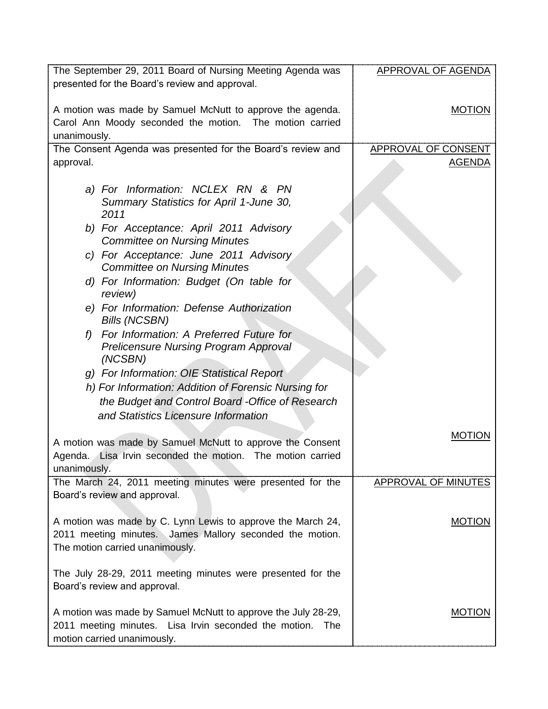| The September 29, 2011 Board of Nursing Meeting Agenda was    | <b>APPROVAL OF AGENDA</b>  |
|---------------------------------------------------------------|----------------------------|
| presented for the Board's review and approval.                |                            |
|                                                               |                            |
| A motion was made by Samuel McNutt to approve the agenda.     | <b>MOTION</b>              |
| Carol Ann Moody seconded the motion. The motion carried       |                            |
| unanimously.                                                  |                            |
| The Consent Agenda was presented for the Board's review and   | APPROVAL OF CONSENT        |
| approval.                                                     | <b>AGENDA</b>              |
|                                                               |                            |
| a) For Information: NCLEX RN & PN                             |                            |
| Summary Statistics for April 1-June 30,                       |                            |
| 2011                                                          |                            |
| b) For Acceptance: April 2011 Advisory                        |                            |
| <b>Committee on Nursing Minutes</b>                           |                            |
| c) For Acceptance: June 2011 Advisory                         |                            |
| <b>Committee on Nursing Minutes</b>                           |                            |
| d) For Information: Budget (On table for                      |                            |
| review)                                                       |                            |
| e) For Information: Defense Authorization                     |                            |
| <b>Bills (NCSBN)</b>                                          |                            |
| For Information: A Preferred Future for<br>f)                 |                            |
| <b>Prelicensure Nursing Program Approval</b>                  |                            |
| (NCSBN)                                                       |                            |
| g) For Information: OIE Statistical Report                    |                            |
| h) For Information: Addition of Forensic Nursing for          |                            |
| the Budget and Control Board - Office of Research             |                            |
| and Statistics Licensure Information                          |                            |
|                                                               | <b>MOTION</b>              |
| A motion was made by Samuel McNutt to approve the Consent     |                            |
| Agenda. Lisa Irvin seconded the motion. The motion carried    |                            |
| unanimously.                                                  |                            |
| The March 24, 2011 meeting minutes were presented for the     | <b>APPROVAL OF MINUTES</b> |
| Board's review and approval.                                  |                            |
|                                                               |                            |
| A motion was made by C. Lynn Lewis to approve the March 24,   | <b>MOTION</b>              |
| 2011 meeting minutes. James Mallory seconded the motion.      |                            |
| The motion carried unanimously.                               |                            |
|                                                               |                            |
| The July 28-29, 2011 meeting minutes were presented for the   |                            |
| Board's review and approval.                                  |                            |
| A motion was made by Samuel McNutt to approve the July 28-29, | <b>MOTION</b>              |
| 2011 meeting minutes. Lisa Irvin seconded the motion. The     |                            |
| motion carried unanimously.                                   |                            |
|                                                               |                            |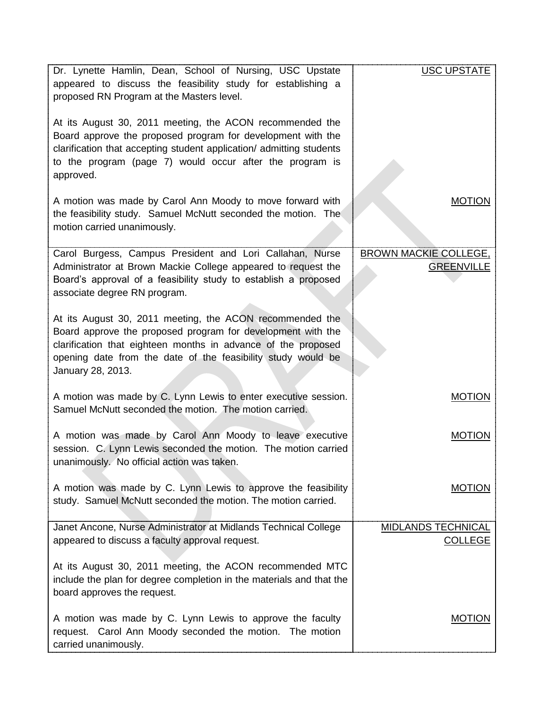| Dr. Lynette Hamlin, Dean, School of Nursing, USC Upstate<br>appeared to discuss the feasibility study for establishing a<br>proposed RN Program at the Masters level.                                                                                                         | <b>USC UPSTATE</b>                                |
|-------------------------------------------------------------------------------------------------------------------------------------------------------------------------------------------------------------------------------------------------------------------------------|---------------------------------------------------|
| At its August 30, 2011 meeting, the ACON recommended the<br>Board approve the proposed program for development with the<br>clarification that accepting student application/ admitting students<br>to the program (page 7) would occur after the program is<br>approved.      |                                                   |
| A motion was made by Carol Ann Moody to move forward with<br>the feasibility study. Samuel McNutt seconded the motion. The<br>motion carried unanimously.                                                                                                                     | <b>MOTION</b>                                     |
| Carol Burgess, Campus President and Lori Callahan, Nurse<br>Administrator at Brown Mackie College appeared to request the<br>Board's approval of a feasibility study to establish a proposed<br>associate degree RN program.                                                  | <b>BROWN MACKIE COLLEGE,</b><br><b>GREENVILLE</b> |
| At its August 30, 2011 meeting, the ACON recommended the<br>Board approve the proposed program for development with the<br>clarification that eighteen months in advance of the proposed<br>opening date from the date of the feasibility study would be<br>January 28, 2013. |                                                   |
| A motion was made by C. Lynn Lewis to enter executive session.<br>Samuel McNutt seconded the motion. The motion carried.                                                                                                                                                      | <b>MOTION</b>                                     |
| A motion was made by Carol Ann Moody to leave executive<br>session. C. Lynn Lewis seconded the motion. The motion carried<br>unanimously. No official action was taken.                                                                                                       | <b>MOTION</b>                                     |
| A motion was made by C. Lynn Lewis to approve the feasibility<br>study. Samuel McNutt seconded the motion. The motion carried.                                                                                                                                                | <b>MOTION</b>                                     |
| Janet Ancone, Nurse Administrator at Midlands Technical College<br>appeared to discuss a faculty approval request.                                                                                                                                                            | <b>MIDLANDS TECHNICAL</b><br><b>COLLEGE</b>       |
| At its August 30, 2011 meeting, the ACON recommended MTC<br>include the plan for degree completion in the materials and that the<br>board approves the request.                                                                                                               |                                                   |
| A motion was made by C. Lynn Lewis to approve the faculty<br>request. Carol Ann Moody seconded the motion. The motion<br>carried unanimously.                                                                                                                                 | <b>MOTION</b>                                     |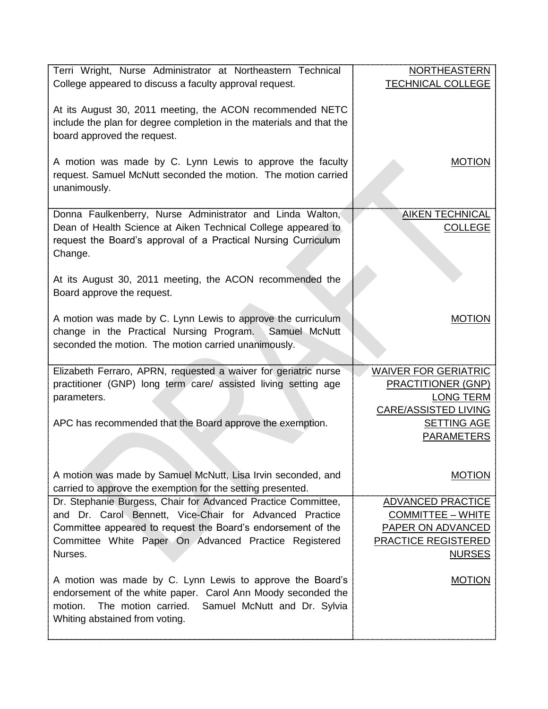| Terri Wright, Nurse Administrator at Northeastern Technical                                                                                                                                                                                                  | <b>NORTHEASTERN</b>                                                                                                             |
|--------------------------------------------------------------------------------------------------------------------------------------------------------------------------------------------------------------------------------------------------------------|---------------------------------------------------------------------------------------------------------------------------------|
| College appeared to discuss a faculty approval request.                                                                                                                                                                                                      | <b>TECHNICAL COLLEGE</b>                                                                                                        |
| At its August 30, 2011 meeting, the ACON recommended NETC<br>include the plan for degree completion in the materials and that the<br>board approved the request.                                                                                             |                                                                                                                                 |
| A motion was made by C. Lynn Lewis to approve the faculty<br>request. Samuel McNutt seconded the motion. The motion carried<br>unanimously.                                                                                                                  | <b>MOTION</b>                                                                                                                   |
| Donna Faulkenberry, Nurse Administrator and Linda Walton,<br>Dean of Health Science at Aiken Technical College appeared to<br>request the Board's approval of a Practical Nursing Curriculum<br>Change.                                                      | <b>AIKEN TECHNICAL</b><br><b>COLLEGE</b>                                                                                        |
| At its August 30, 2011 meeting, the ACON recommended the<br>Board approve the request.                                                                                                                                                                       |                                                                                                                                 |
| A motion was made by C. Lynn Lewis to approve the curriculum<br>change in the Practical Nursing Program. Samuel McNutt<br>seconded the motion. The motion carried unanimously.                                                                               | <b>MOTION</b>                                                                                                                   |
| Elizabeth Ferraro, APRN, requested a waiver for geriatric nurse<br>practitioner (GNP) long term care/ assisted living setting age<br>parameters.                                                                                                             | <b>WAIVER FOR GERIATRIC</b><br>PRACTITIONER (GNP)<br><b>LONG TERM</b><br>CARE/ASSISTED LIVING                                   |
| APC has recommended that the Board approve the exemption.                                                                                                                                                                                                    | <b>SETTING AGE</b><br><b>PARAMETERS</b>                                                                                         |
| A motion was made by Samuel McNutt, Lisa Irvin seconded, and<br>carried to approve the exemption for the setting presented.                                                                                                                                  | <b>MOTION</b>                                                                                                                   |
| Dr. Stephanie Burgess, Chair for Advanced Practice Committee,<br>and Dr. Carol Bennett, Vice-Chair for Advanced Practice<br>Committee appeared to request the Board's endorsement of the<br>Committee White Paper On Advanced Practice Registered<br>Nurses. | <b>ADVANCED PRACTICE</b><br><b>COMMITTEE - WHITE</b><br><b>PAPER ON ADVANCED</b><br><b>PRACTICE REGISTERED</b><br><b>NURSES</b> |
| A motion was made by C. Lynn Lewis to approve the Board's<br>endorsement of the white paper. Carol Ann Moody seconded the<br>motion.<br>The motion carried. Samuel McNutt and Dr. Sylvia<br>Whiting abstained from voting.                                   | <b>MOTION</b>                                                                                                                   |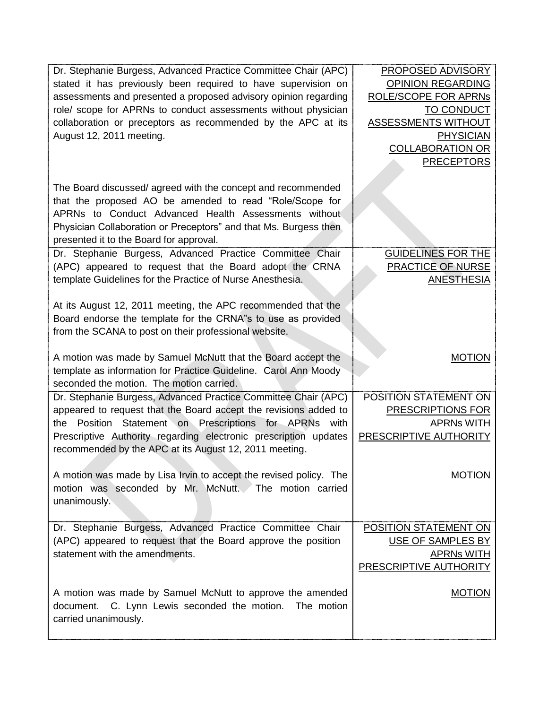| Dr. Stephanie Burgess, Advanced Practice Committee Chair (APC)<br>stated it has previously been required to have supervision on<br>assessments and presented a proposed advisory opinion regarding<br>role/ scope for APRNs to conduct assessments without physician<br>collaboration or preceptors as recommended by the APC at its<br>August 12, 2011 meeting. | PROPOSED ADVISORY<br><b>OPINION REGARDING</b><br><b>ROLE/SCOPE FOR APRNs</b><br>TO CONDUCT<br>ASSESSMENTS WITHOUT<br><b>PHYSICIAN</b><br><b>COLLABORATION OR</b><br><b>PRECEPTORS</b> |
|------------------------------------------------------------------------------------------------------------------------------------------------------------------------------------------------------------------------------------------------------------------------------------------------------------------------------------------------------------------|---------------------------------------------------------------------------------------------------------------------------------------------------------------------------------------|
| The Board discussed/ agreed with the concept and recommended<br>that the proposed AO be amended to read "Role/Scope for<br>APRNs to Conduct Advanced Health Assessments without<br>Physician Collaboration or Preceptors" and that Ms. Burgess then<br>presented it to the Board for approval.<br>Dr. Stephanie Burgess, Advanced Practice Committee Chair       | <b>GUIDELINES FOR THE</b>                                                                                                                                                             |
| (APC) appeared to request that the Board adopt the CRNA<br>template Guidelines for the Practice of Nurse Anesthesia.                                                                                                                                                                                                                                             | PRACTICE OF NURSE<br><b>ANESTHESIA</b>                                                                                                                                                |
| At its August 12, 2011 meeting, the APC recommended that the<br>Board endorse the template for the CRNA"s to use as provided<br>from the SCANA to post on their professional website.                                                                                                                                                                            |                                                                                                                                                                                       |
| A motion was made by Samuel McNutt that the Board accept the<br>template as information for Practice Guideline. Carol Ann Moody<br>seconded the motion. The motion carried.                                                                                                                                                                                      | <b>MOTION</b>                                                                                                                                                                         |
| Dr. Stephanie Burgess, Advanced Practice Committee Chair (APC)                                                                                                                                                                                                                                                                                                   | POSITION STATEMENT ON                                                                                                                                                                 |
| appeared to request that the Board accept the revisions added to<br>Position Statement on Prescriptions for APRNs with<br>the                                                                                                                                                                                                                                    | PRESCRIPTIONS FOR<br><b>APRNs WITH</b>                                                                                                                                                |
| Prescriptive Authority regarding electronic prescription updates<br>recommended by the APC at its August 12, 2011 meeting.                                                                                                                                                                                                                                       | <b>PRESCRIPTIVE AUTHORITY</b>                                                                                                                                                         |
| A motion was made by Lisa Irvin to accept the revised policy. The                                                                                                                                                                                                                                                                                                |                                                                                                                                                                                       |
| motion was seconded by Mr. McNutt. The motion carried<br>unanimously.                                                                                                                                                                                                                                                                                            | <b>MOTION</b>                                                                                                                                                                         |
| Dr. Stephanie Burgess, Advanced Practice Committee Chair                                                                                                                                                                                                                                                                                                         | <b>POSITION STATEMENT ON</b>                                                                                                                                                          |
| (APC) appeared to request that the Board approve the position<br>statement with the amendments.                                                                                                                                                                                                                                                                  | USE OF SAMPLES BY                                                                                                                                                                     |
|                                                                                                                                                                                                                                                                                                                                                                  | <b>APRNs WITH</b><br><b>PRESCRIPTIVE AUTHORITY</b>                                                                                                                                    |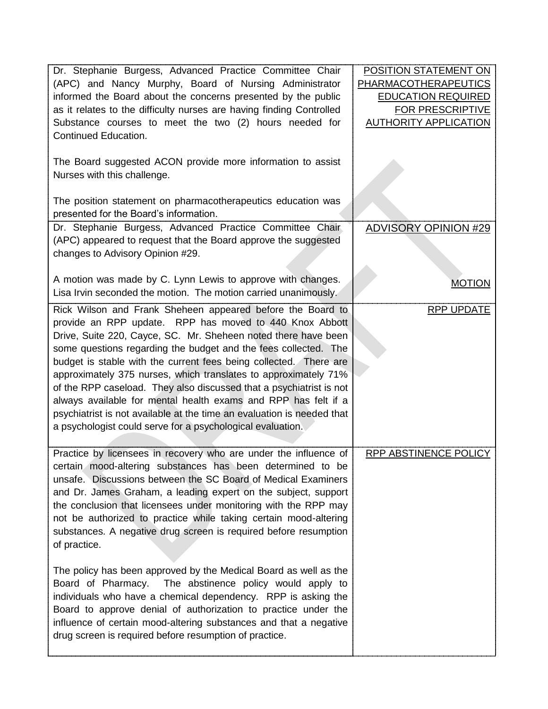| Dr. Stephanie Burgess, Advanced Practice Committee Chair                                                                             | POSITION STATEMENT ON        |
|--------------------------------------------------------------------------------------------------------------------------------------|------------------------------|
| (APC) and Nancy Murphy, Board of Nursing Administrator                                                                               | <b>PHARMACOTHERAPEUTICS</b>  |
| informed the Board about the concerns presented by the public                                                                        | <b>EDUCATION REQUIRED</b>    |
| as it relates to the difficulty nurses are having finding Controlled                                                                 | <b>FOR PRESCRIPTIVE</b>      |
| Substance courses to meet the two (2) hours needed for                                                                               | <b>AUTHORITY APPLICATION</b> |
| Continued Education.                                                                                                                 |                              |
| The Board suggested ACON provide more information to assist<br>Nurses with this challenge.                                           |                              |
| The position statement on pharmacotherapeutics education was<br>presented for the Board's information.                               |                              |
| Dr. Stephanie Burgess, Advanced Practice Committee Chair                                                                             | <b>ADVISORY OPINION #29</b>  |
| (APC) appeared to request that the Board approve the suggested                                                                       |                              |
| changes to Advisory Opinion #29.                                                                                                     |                              |
|                                                                                                                                      |                              |
| A motion was made by C. Lynn Lewis to approve with changes.                                                                          | <b>MOTION</b>                |
| Lisa Irvin seconded the motion. The motion carried unanimously.                                                                      |                              |
| Rick Wilson and Frank Sheheen appeared before the Board to                                                                           | <b>RPP UPDATE</b>            |
| provide an RPP update. RPP has moved to 440 Knox Abbott                                                                              |                              |
| Drive, Suite 220, Cayce, SC. Mr. Sheheen noted there have been                                                                       |                              |
| some questions regarding the budget and the fees collected. The                                                                      |                              |
| budget is stable with the current fees being collected. There are<br>approximately 375 nurses, which translates to approximately 71% |                              |
| of the RPP caseload. They also discussed that a psychiatrist is not                                                                  |                              |
| always available for mental health exams and RPP has felt if a                                                                       |                              |
| psychiatrist is not available at the time an evaluation is needed that                                                               |                              |
| a psychologist could serve for a psychological evaluation.                                                                           |                              |
|                                                                                                                                      |                              |
| Practice by licensees in recovery who are under the influence of                                                                     | <b>RPP ABSTINENCE POLICY</b> |
| certain mood-altering substances has been determined to be                                                                           |                              |
| unsafe. Discussions between the SC Board of Medical Examiners                                                                        |                              |
| and Dr. James Graham, a leading expert on the subject, support                                                                       |                              |
| the conclusion that licensees under monitoring with the RPP may                                                                      |                              |
| not be authorized to practice while taking certain mood-altering                                                                     |                              |
| substances. A negative drug screen is required before resumption                                                                     |                              |
| of practice.                                                                                                                         |                              |
|                                                                                                                                      |                              |
| The policy has been approved by the Medical Board as well as the                                                                     |                              |
| The abstinence policy would apply to<br>Board of Pharmacy.                                                                           |                              |
| individuals who have a chemical dependency. RPP is asking the                                                                        |                              |
| Board to approve denial of authorization to practice under the<br>influence of certain mood-altering substances and that a negative  |                              |
| drug screen is required before resumption of practice.                                                                               |                              |
|                                                                                                                                      |                              |
|                                                                                                                                      |                              |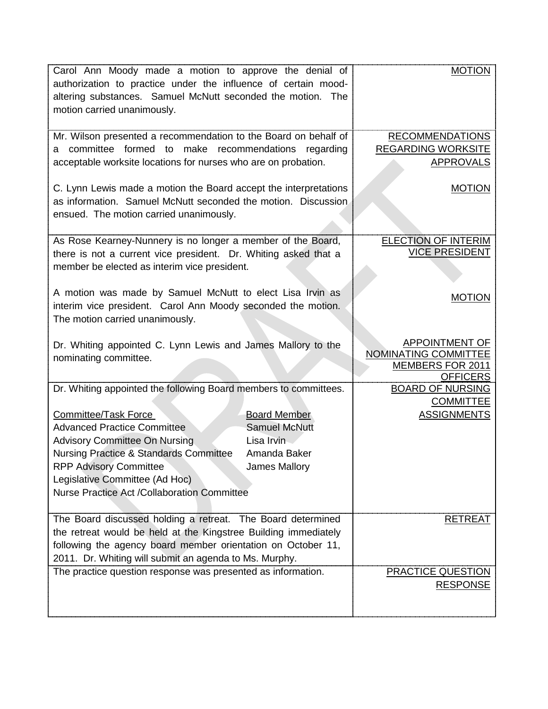| Carol Ann Moody made a motion to approve the denial of<br>authorization to practice under the influence of certain mood-<br>altering substances. Samuel McNutt seconded the motion. The<br>motion carried unanimously.                                                                                                                                                                                                                                    | <b>MOTION</b>                                                                        |
|-----------------------------------------------------------------------------------------------------------------------------------------------------------------------------------------------------------------------------------------------------------------------------------------------------------------------------------------------------------------------------------------------------------------------------------------------------------|--------------------------------------------------------------------------------------|
| Mr. Wilson presented a recommendation to the Board on behalf of<br>committee formed to make recommendations regarding<br>a<br>acceptable worksite locations for nurses who are on probation.                                                                                                                                                                                                                                                              | <b>RECOMMENDATIONS</b><br><b>REGARDING WORKSITE</b><br><b>APPROVALS</b>              |
| C. Lynn Lewis made a motion the Board accept the interpretations<br>as information. Samuel McNutt seconded the motion. Discussion<br>ensued. The motion carried unanimously.                                                                                                                                                                                                                                                                              | <b>MOTION</b>                                                                        |
| As Rose Kearney-Nunnery is no longer a member of the Board,<br>there is not a current vice president. Dr. Whiting asked that a<br>member be elected as interim vice president.                                                                                                                                                                                                                                                                            | <b>ELECTION OF INTERIM</b><br><b>VICE PRESIDENT</b>                                  |
| A motion was made by Samuel McNutt to elect Lisa Irvin as<br>interim vice president. Carol Ann Moody seconded the motion.<br>The motion carried unanimously.                                                                                                                                                                                                                                                                                              | <b>MOTION</b>                                                                        |
| Dr. Whiting appointed C. Lynn Lewis and James Mallory to the<br>nominating committee.                                                                                                                                                                                                                                                                                                                                                                     | <b>APPOINTMENT OF</b><br>NOMINATING COMMITTEE<br>MEMBERS FOR 2011<br><b>OFFICERS</b> |
| Dr. Whiting appointed the following Board members to committees.<br><b>Committee/Task Force</b><br><b>Board Member</b><br><b>Advanced Practice Committee</b><br><b>Samuel McNutt</b><br><b>Advisory Committee On Nursing</b><br>Lisa Irvin<br><b>Nursing Practice &amp; Standards Committee</b><br>Amanda Baker<br><b>RPP Advisory Committee</b><br><b>James Mallory</b><br>Legislative Committee (Ad Hoc)<br>Nurse Practice Act /Collaboration Committee | <b>BOARD OF NURSING</b><br><b>COMMITTEE</b><br><b>ASSIGNMENTS</b>                    |
| The Board discussed holding a retreat. The Board determined<br>the retreat would be held at the Kingstree Building immediately<br>following the agency board member orientation on October 11,<br>2011. Dr. Whiting will submit an agenda to Ms. Murphy.                                                                                                                                                                                                  | <b>RETREAT</b>                                                                       |
| The practice question response was presented as information.                                                                                                                                                                                                                                                                                                                                                                                              | PRACTICE QUESTION<br><b>RESPONSE</b>                                                 |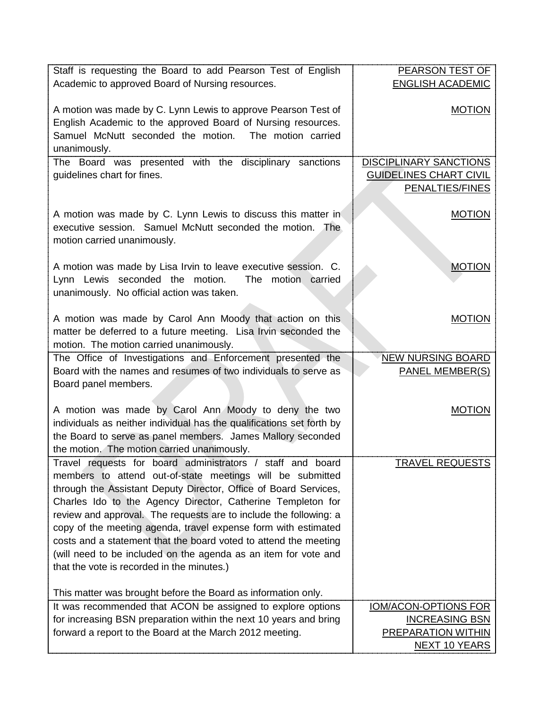| Staff is requesting the Board to add Pearson Test of English                                                                                                                                                                                                                                                                                                                                                                                                                                                                                                                           | PEARSON TEST OF                                                                   |
|----------------------------------------------------------------------------------------------------------------------------------------------------------------------------------------------------------------------------------------------------------------------------------------------------------------------------------------------------------------------------------------------------------------------------------------------------------------------------------------------------------------------------------------------------------------------------------------|-----------------------------------------------------------------------------------|
| Academic to approved Board of Nursing resources.                                                                                                                                                                                                                                                                                                                                                                                                                                                                                                                                       | <b>ENGLISH ACADEMIC</b>                                                           |
| A motion was made by C. Lynn Lewis to approve Pearson Test of<br>English Academic to the approved Board of Nursing resources.<br>Samuel McNutt seconded the motion.<br>The motion carried<br>unanimously.                                                                                                                                                                                                                                                                                                                                                                              | <b>MOTION</b>                                                                     |
| The Board was presented with the disciplinary sanctions<br>guidelines chart for fines.                                                                                                                                                                                                                                                                                                                                                                                                                                                                                                 | <b>DISCIPLINARY SANCTIONS</b><br><b>GUIDELINES CHART CIVIL</b><br>PENALTIES/FINES |
| A motion was made by C. Lynn Lewis to discuss this matter in<br>executive session. Samuel McNutt seconded the motion. The<br>motion carried unanimously.                                                                                                                                                                                                                                                                                                                                                                                                                               | <b>MOTION</b>                                                                     |
| A motion was made by Lisa Irvin to leave executive session. C.<br>Lynn Lewis seconded the motion.<br>The motion carried<br>unanimously. No official action was taken.                                                                                                                                                                                                                                                                                                                                                                                                                  | <b>MOTION</b>                                                                     |
| A motion was made by Carol Ann Moody that action on this<br>matter be deferred to a future meeting. Lisa Irvin seconded the<br>motion. The motion carried unanimously.                                                                                                                                                                                                                                                                                                                                                                                                                 | <b>MOTION</b>                                                                     |
| The Office of Investigations and Enforcement presented the                                                                                                                                                                                                                                                                                                                                                                                                                                                                                                                             | <b>NEW NURSING BOARD</b>                                                          |
| Board with the names and resumes of two individuals to serve as<br>Board panel members.                                                                                                                                                                                                                                                                                                                                                                                                                                                                                                | <b>PANEL MEMBER(S)</b>                                                            |
| A motion was made by Carol Ann Moody to deny the two<br>individuals as neither individual has the qualifications set forth by<br>the Board to serve as panel members. James Mallory seconded<br>the motion. The motion carried unanimously.                                                                                                                                                                                                                                                                                                                                            | <b>MOTION</b>                                                                     |
| Travel requests for board administrators / staff and board<br>members to attend out-of-state meetings will be submitted<br>through the Assistant Deputy Director, Office of Board Services,<br>Charles Ido to the Agency Director, Catherine Templeton for<br>review and approval. The requests are to include the following: a<br>copy of the meeting agenda, travel expense form with estimated<br>costs and a statement that the board voted to attend the meeting<br>(will need to be included on the agenda as an item for vote and<br>that the vote is recorded in the minutes.) | <u>TRAVEL REQUESTS</u>                                                            |
| This matter was brought before the Board as information only.                                                                                                                                                                                                                                                                                                                                                                                                                                                                                                                          |                                                                                   |
| It was recommended that ACON be assigned to explore options                                                                                                                                                                                                                                                                                                                                                                                                                                                                                                                            | <b>IOM/ACON-OPTIONS FOR</b>                                                       |
| for increasing BSN preparation within the next 10 years and bring                                                                                                                                                                                                                                                                                                                                                                                                                                                                                                                      | <b>INCREASING BSN</b>                                                             |
| forward a report to the Board at the March 2012 meeting.                                                                                                                                                                                                                                                                                                                                                                                                                                                                                                                               | PREPARATION WITHIN                                                                |
|                                                                                                                                                                                                                                                                                                                                                                                                                                                                                                                                                                                        | NEXT 10 YEARS                                                                     |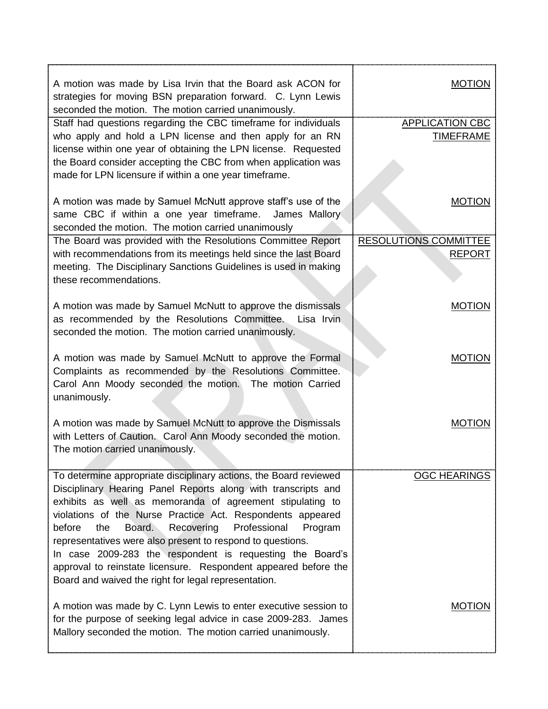| A motion was made by Lisa Irvin that the Board ask ACON for<br>strategies for moving BSN preparation forward. C. Lynn Lewis<br>seconded the motion. The motion carried unanimously.                                                                                                                                                                                                                                                                                                                                                                                                     | <b>MOTION</b>                                 |
|-----------------------------------------------------------------------------------------------------------------------------------------------------------------------------------------------------------------------------------------------------------------------------------------------------------------------------------------------------------------------------------------------------------------------------------------------------------------------------------------------------------------------------------------------------------------------------------------|-----------------------------------------------|
| Staff had questions regarding the CBC timeframe for individuals<br>who apply and hold a LPN license and then apply for an RN<br>license within one year of obtaining the LPN license. Requested<br>the Board consider accepting the CBC from when application was<br>made for LPN licensure if within a one year timeframe.                                                                                                                                                                                                                                                             | <b>APPLICATION CBC</b><br><b>TIMEFRAME</b>    |
| A motion was made by Samuel McNutt approve staff's use of the<br>same CBC if within a one year timeframe.<br>James Mallory<br>seconded the motion. The motion carried unanimously<br>The Board was provided with the Resolutions Committee Report                                                                                                                                                                                                                                                                                                                                       | <b>MOTION</b><br><b>RESOLUTIONS COMMITTEE</b> |
| with recommendations from its meetings held since the last Board<br>meeting. The Disciplinary Sanctions Guidelines is used in making<br>these recommendations.                                                                                                                                                                                                                                                                                                                                                                                                                          | <b>REPORT</b>                                 |
| A motion was made by Samuel McNutt to approve the dismissals<br>as recommended by the Resolutions Committee.<br>Lisa Irvin<br>seconded the motion. The motion carried unanimously.                                                                                                                                                                                                                                                                                                                                                                                                      | <b>MOTION</b>                                 |
| A motion was made by Samuel McNutt to approve the Formal<br>Complaints as recommended by the Resolutions Committee.<br>Carol Ann Moody seconded the motion. The motion Carried<br>unanimously.                                                                                                                                                                                                                                                                                                                                                                                          | <b>MOTION</b>                                 |
| A motion was made by Samuel McNutt to approve the Dismissals<br>with Letters of Caution. Carol Ann Moody seconded the motion.<br>The motion carried unanimously.                                                                                                                                                                                                                                                                                                                                                                                                                        | <b>MOTION</b>                                 |
| To determine appropriate disciplinary actions, the Board reviewed<br>Disciplinary Hearing Panel Reports along with transcripts and<br>exhibits as well as memoranda of agreement stipulating to<br>violations of the Nurse Practice Act. Respondents appeared<br>Recovering<br>Board.<br>Professional<br>before<br>the<br>Program<br>representatives were also present to respond to questions.<br>In case 2009-283 the respondent is requesting the Board's<br>approval to reinstate licensure. Respondent appeared before the<br>Board and waived the right for legal representation. | <b>OGC HEARINGS</b>                           |
| A motion was made by C. Lynn Lewis to enter executive session to<br>for the purpose of seeking legal advice in case 2009-283. James<br>Mallory seconded the motion. The motion carried unanimously.                                                                                                                                                                                                                                                                                                                                                                                     | <b>MOTION</b>                                 |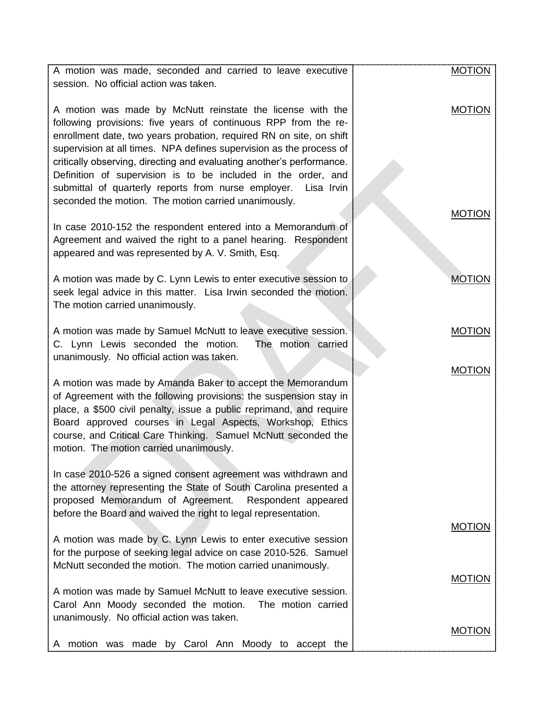| A motion was made, seconded and carried to leave executive<br>session. No official action was taken.                                                                                                                                                                                                                                                                                                                                                                                                                                            | <b>MOTION</b> |
|-------------------------------------------------------------------------------------------------------------------------------------------------------------------------------------------------------------------------------------------------------------------------------------------------------------------------------------------------------------------------------------------------------------------------------------------------------------------------------------------------------------------------------------------------|---------------|
| A motion was made by McNutt reinstate the license with the<br>following provisions: five years of continuous RPP from the re-<br>enrollment date, two years probation, required RN on site, on shift<br>supervision at all times. NPA defines supervision as the process of<br>critically observing, directing and evaluating another's performance.<br>Definition of supervision is to be included in the order, and<br>submittal of quarterly reports from nurse employer. Lisa Irvin<br>seconded the motion. The motion carried unanimously. | <b>MOTION</b> |
| In case 2010-152 the respondent entered into a Memorandum of<br>Agreement and waived the right to a panel hearing. Respondent<br>appeared and was represented by A. V. Smith, Esq.                                                                                                                                                                                                                                                                                                                                                              | <b>MOTION</b> |
| A motion was made by C. Lynn Lewis to enter executive session to<br>seek legal advice in this matter. Lisa Irwin seconded the motion.<br>The motion carried unanimously.                                                                                                                                                                                                                                                                                                                                                                        | <b>MOTION</b> |
| A motion was made by Samuel McNutt to leave executive session.<br>C. Lynn Lewis seconded the motion.<br>The motion carried<br>unanimously. No official action was taken.                                                                                                                                                                                                                                                                                                                                                                        | <b>MOTION</b> |
| A motion was made by Amanda Baker to accept the Memorandum<br>of Agreement with the following provisions: the suspension stay in<br>place, a \$500 civil penalty, issue a public reprimand, and require<br>Board approved courses in Legal Aspects, Workshop, Ethics<br>course, and Critical Care Thinking. Samuel McNutt seconded the<br>motion. The motion carried unanimously.                                                                                                                                                               | <b>MOTION</b> |
| In case 2010-526 a signed consent agreement was withdrawn and<br>the attorney representing the State of South Carolina presented a<br>proposed Memorandum of Agreement. Respondent appeared<br>before the Board and waived the right to legal representation.                                                                                                                                                                                                                                                                                   |               |
| A motion was made by C. Lynn Lewis to enter executive session<br>for the purpose of seeking legal advice on case 2010-526. Samuel                                                                                                                                                                                                                                                                                                                                                                                                               | <b>MOTION</b> |
| McNutt seconded the motion. The motion carried unanimously.<br>A motion was made by Samuel McNutt to leave executive session.<br>Carol Ann Moody seconded the motion. The motion carried                                                                                                                                                                                                                                                                                                                                                        | <b>MOTION</b> |
| unanimously. No official action was taken.<br>motion was made by Carol Ann Moody to accept the<br>A                                                                                                                                                                                                                                                                                                                                                                                                                                             | <b>MOTION</b> |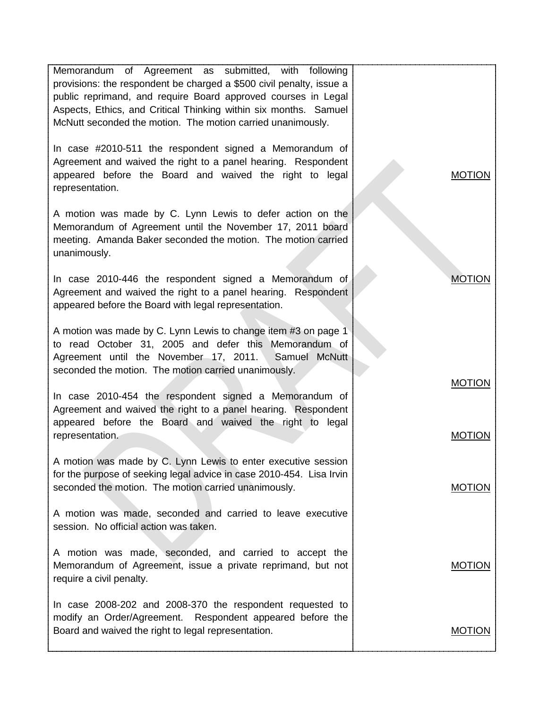| Memorandum of Agreement as submitted, with following<br>provisions: the respondent be charged a \$500 civil penalty, issue a<br>public reprimand, and require Board approved courses in Legal<br>Aspects, Ethics, and Critical Thinking within six months. Samuel<br>McNutt seconded the motion. The motion carried unanimously. |               |
|----------------------------------------------------------------------------------------------------------------------------------------------------------------------------------------------------------------------------------------------------------------------------------------------------------------------------------|---------------|
| In case #2010-511 the respondent signed a Memorandum of<br>Agreement and waived the right to a panel hearing. Respondent<br>appeared before the Board and waived the right to legal<br>representation.                                                                                                                           | <b>MOTION</b> |
| A motion was made by C. Lynn Lewis to defer action on the<br>Memorandum of Agreement until the November 17, 2011 board<br>meeting. Amanda Baker seconded the motion. The motion carried<br>unanimously.                                                                                                                          |               |
| In case 2010-446 the respondent signed a Memorandum of<br>Agreement and waived the right to a panel hearing. Respondent<br>appeared before the Board with legal representation.                                                                                                                                                  | <b>MOTION</b> |
| A motion was made by C. Lynn Lewis to change item #3 on page 1<br>to read October 31, 2005 and defer this Memorandum of<br>Agreement until the November 17, 2011. Samuel McNutt<br>seconded the motion. The motion carried unanimously.                                                                                          |               |
| In case 2010-454 the respondent signed a Memorandum of<br>Agreement and waived the right to a panel hearing. Respondent                                                                                                                                                                                                          | <b>MOTION</b> |
| appeared before the Board and waived the right to legal<br>representation.                                                                                                                                                                                                                                                       | <b>MOTION</b> |
| A motion was made by C. Lynn Lewis to enter executive session<br>for the purpose of seeking legal advice in case 2010-454. Lisa Irvin<br>seconded the motion. The motion carried unanimously.                                                                                                                                    | <b>MOTION</b> |
| A motion was made, seconded and carried to leave executive<br>session. No official action was taken.                                                                                                                                                                                                                             |               |
| A motion was made, seconded, and carried to accept the<br>Memorandum of Agreement, issue a private reprimand, but not<br>require a civil penalty.                                                                                                                                                                                | <b>MOTION</b> |
| In case 2008-202 and 2008-370 the respondent requested to<br>modify an Order/Agreement. Respondent appeared before the<br>Board and waived the right to legal representation.                                                                                                                                                    | <b>MOTION</b> |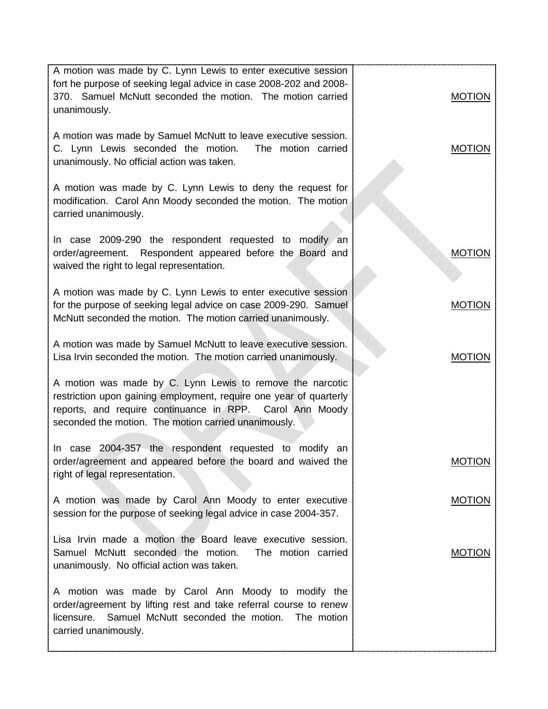| <b>MOTION</b> |
|---------------|
| <b>MOTION</b> |
|               |
| <b>MOTION</b> |
| <b>MOTION</b> |
| <b>MOTION</b> |
|               |
| <b>MOTION</b> |
| <b>MOTION</b> |
| <b>MOTION</b> |
|               |
|               |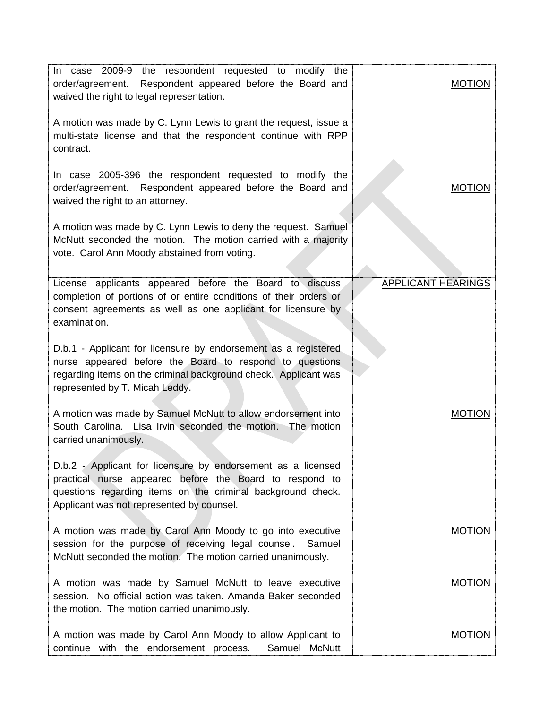| 2009-9 the respondent requested to modify the<br>In case<br>order/agreement. Respondent appeared before the Board and<br>waived the right to legal representation.                                                                  | <b>MOTION</b>             |
|-------------------------------------------------------------------------------------------------------------------------------------------------------------------------------------------------------------------------------------|---------------------------|
| A motion was made by C. Lynn Lewis to grant the request, issue a<br>multi-state license and that the respondent continue with RPP<br>contract.                                                                                      |                           |
| In case 2005-396 the respondent requested to modify the<br>order/agreement. Respondent appeared before the Board and<br>waived the right to an attorney.                                                                            | <b>MOTION</b>             |
| A motion was made by C. Lynn Lewis to deny the request. Samuel<br>McNutt seconded the motion. The motion carried with a majority<br>vote. Carol Ann Moody abstained from voting.                                                    |                           |
| License applicants appeared before the Board to discuss<br>completion of portions of or entire conditions of their orders or<br>consent agreements as well as one applicant for licensure by<br>examination.                        | <b>APPLICANT HEARINGS</b> |
| D.b.1 - Applicant for licensure by endorsement as a registered<br>nurse appeared before the Board to respond to questions<br>regarding items on the criminal background check. Applicant was<br>represented by T. Micah Leddy.      |                           |
| A motion was made by Samuel McNutt to allow endorsement into<br>South Carolina. Lisa Irvin seconded the motion. The motion<br>carried unanimously.                                                                                  | <b>MOTION</b>             |
| D.b.2 - Applicant for licensure by endorsement as a licensed<br>practical nurse appeared before the Board to respond to<br>questions regarding items on the criminal background check.<br>Applicant was not represented by counsel. |                           |
| A motion was made by Carol Ann Moody to go into executive<br>session for the purpose of receiving legal counsel. Samuel<br>McNutt seconded the motion. The motion carried unanimously.                                              | <b>MOTION</b>             |
| A motion was made by Samuel McNutt to leave executive<br>session. No official action was taken. Amanda Baker seconded<br>the motion. The motion carried unanimously.                                                                | <b>MOTION</b>             |
| A motion was made by Carol Ann Moody to allow Applicant to<br>continue with the endorsement process.<br>Samuel McNutt                                                                                                               | <b>MOTION</b>             |